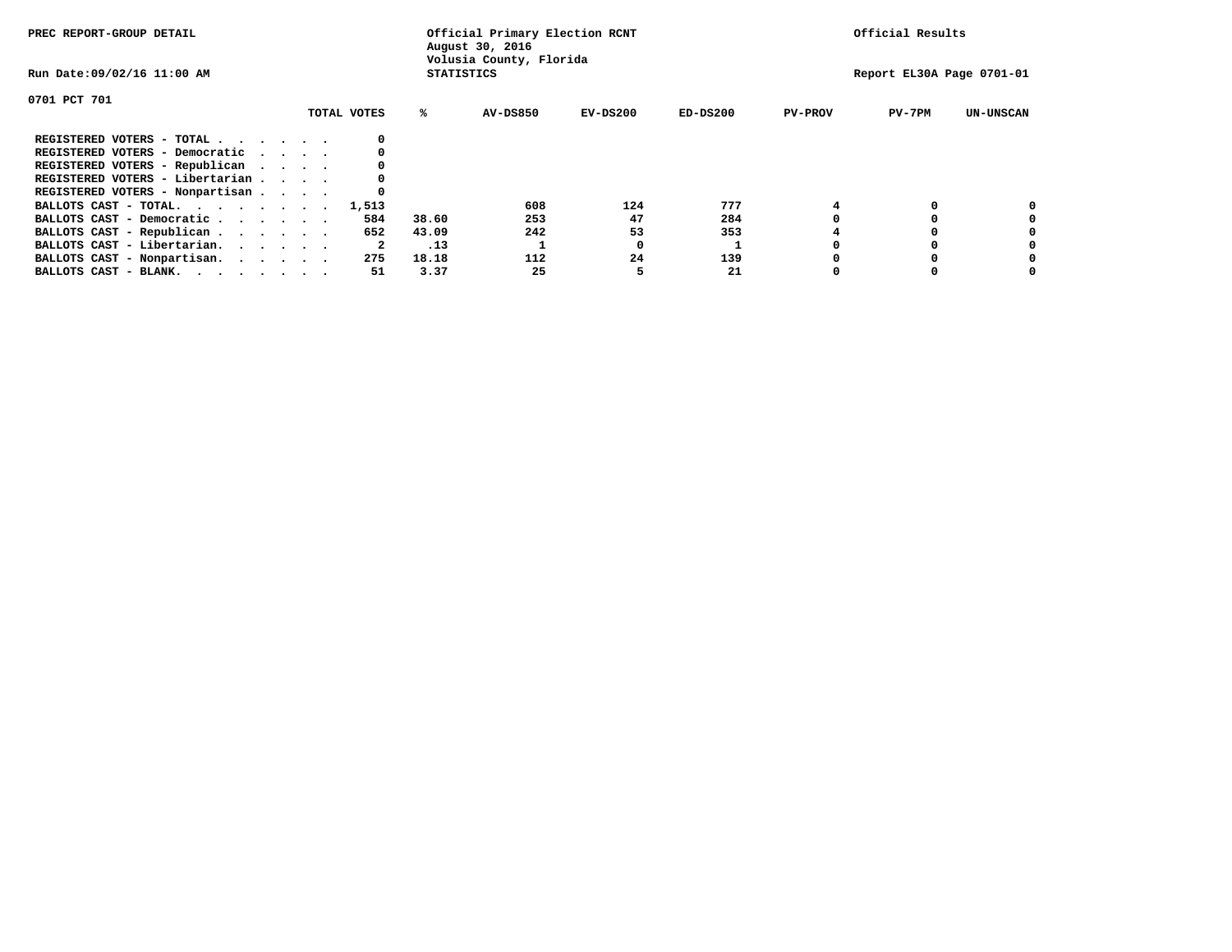| PREC REPORT-GROUP DETAIL           |                   | Official Primary Election RCNT<br>August 30, 2016<br>Volusia County, Florida |          |            |                           |          | Official Results |  |  |
|------------------------------------|-------------------|------------------------------------------------------------------------------|----------|------------|---------------------------|----------|------------------|--|--|
| Run Date:09/02/16 11:00 AM         | <b>STATISTICS</b> |                                                                              |          |            | Report EL30A Page 0701-01 |          |                  |  |  |
| 0701 PCT 701                       |                   |                                                                              |          |            |                           |          |                  |  |  |
| TOTAL VOTES                        | %ะ                | AV-DS850                                                                     | EV-DS200 | $ED-DS200$ | <b>PV-PROV</b>            | $PV-7PM$ | <b>UN-UNSCAN</b> |  |  |
| REGISTERED VOTERS - TOTAL<br>0     |                   |                                                                              |          |            |                           |          |                  |  |  |
| REGISTERED VOTERS - Democratic     |                   |                                                                              |          |            |                           |          |                  |  |  |
| REGISTERED VOTERS - Republican     |                   |                                                                              |          |            |                           |          |                  |  |  |
| REGISTERED VOTERS - Libertarian    |                   |                                                                              |          |            |                           |          |                  |  |  |
| REGISTERED VOTERS - Nonpartisan    |                   |                                                                              |          |            |                           |          |                  |  |  |
| BALLOTS CAST - TOTAL. 1,513        |                   | 608                                                                          | 124      | 777        |                           |          |                  |  |  |
| BALLOTS CAST - Democratic<br>584   | 38.60             | 253                                                                          | 47       | 284        |                           |          |                  |  |  |
| 652<br>BALLOTS CAST - Republican   | 43.09             | 242                                                                          | 53       | 353        |                           |          |                  |  |  |
| BALLOTS CAST - Libertarian.<br>2   | .13               |                                                                              |          |            |                           |          |                  |  |  |
| BALLOTS CAST - Nonpartisan.<br>275 | 18.18             | 112                                                                          | 24       | 139        |                           |          |                  |  |  |
| BALLOTS CAST - BLANK.<br>51        | 3.37              | 25                                                                           |          | 21         |                           |          |                  |  |  |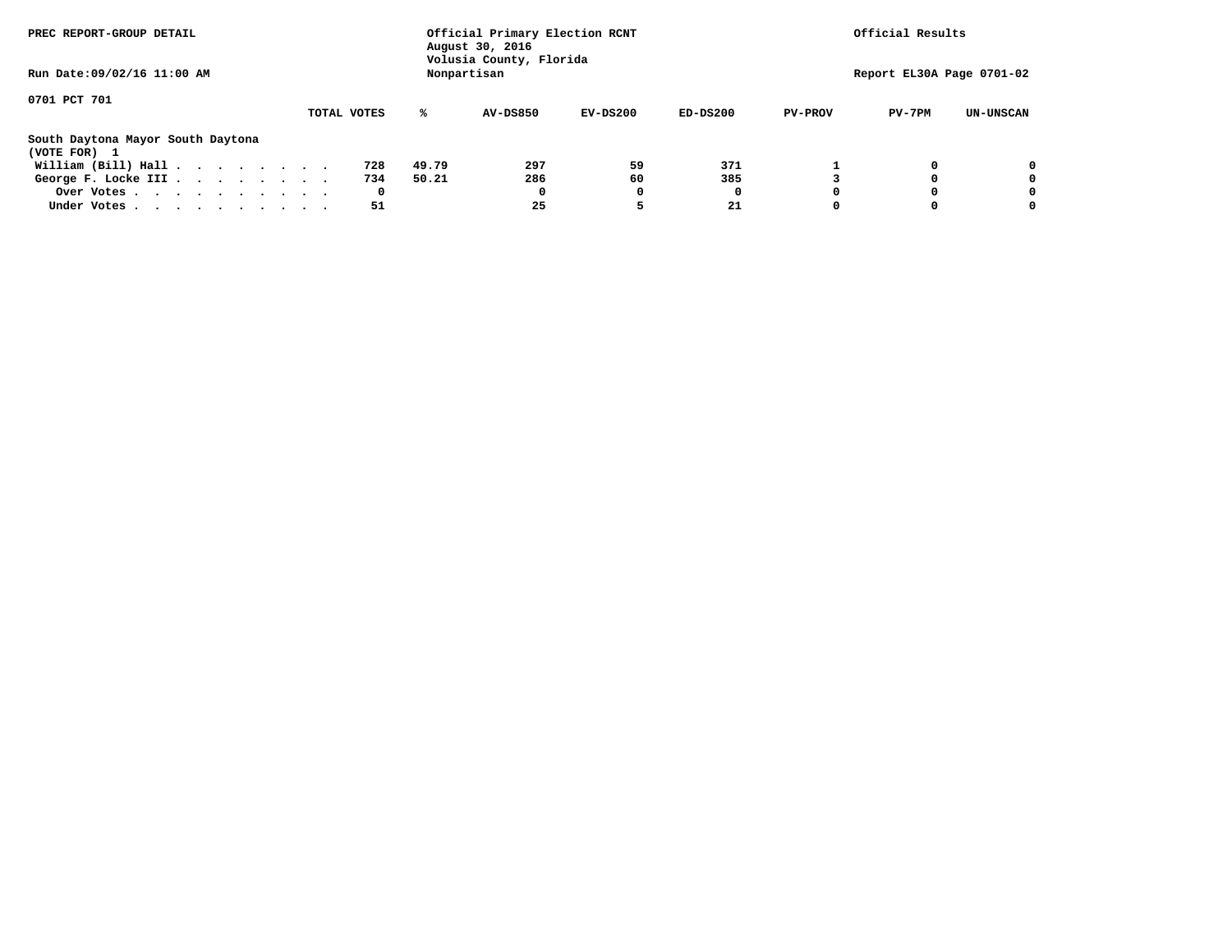| PREC REPORT-GROUP DETAIL                                               |             | Official Primary Election RCNT<br>August 30, 2016 |                 |                                        |            | Official Results |        |                           |  |  |
|------------------------------------------------------------------------|-------------|---------------------------------------------------|-----------------|----------------------------------------|------------|------------------|--------|---------------------------|--|--|
| Run Date: 09/02/16 11:00 AM                                            |             |                                                   |                 | Volusia County, Florida<br>Nonpartisan |            |                  |        | Report EL30A Page 0701-02 |  |  |
| 0701 PCT 701                                                           |             |                                                   |                 |                                        |            |                  |        |                           |  |  |
|                                                                        | TOTAL VOTES | ℁                                                 | <b>AV-DS850</b> | $EV-DS200$                             | $ED-DS200$ | <b>PV-PROV</b>   | PV-7PM | <b>UN-UNSCAN</b>          |  |  |
| South Daytona Mayor South Daytona<br>(VOTE FOR) 1                      |             |                                                   |                 |                                        |            |                  |        |                           |  |  |
| William (Bill) Hall $\cdot \cdot \cdot \cdot \cdot \cdot \cdot$        | 728         | 49.79                                             | 297             | 59                                     | 371        |                  |        | 0                         |  |  |
| George F. Locke III                                                    | 734         | 50.21                                             | 286             | 60                                     | 385        |                  |        | 0                         |  |  |
| Over Votes                                                             | 0           |                                                   | 0               |                                        | 0          |                  |        | 0                         |  |  |
| Under Votes, $\cdot$ , $\cdot$ , $\cdot$ , $\cdot$ , $\cdot$ , $\cdot$ | 51          |                                                   | 25              |                                        | 21         |                  |        |                           |  |  |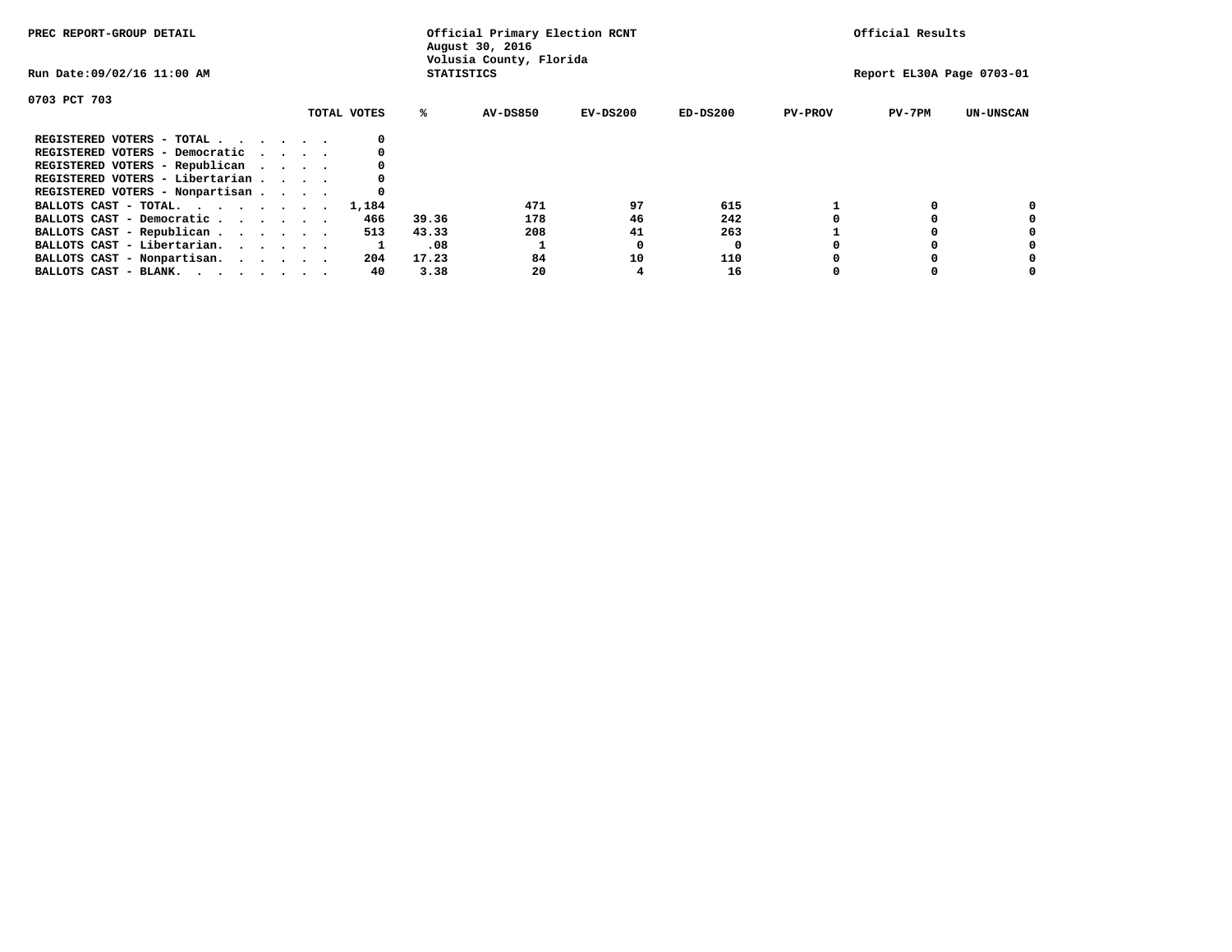| PREC REPORT-GROUP DETAIL<br>Run Date:09/02/16 11:00 AM                                                                                                              |             | Official Primary Election RCNT<br>August 30, 2016<br>Volusia County, Florida<br><b>STATISTICS</b> |          |            |                | Official Results<br>Report EL30A Page 0703-01 |                  |  |  |
|---------------------------------------------------------------------------------------------------------------------------------------------------------------------|-------------|---------------------------------------------------------------------------------------------------|----------|------------|----------------|-----------------------------------------------|------------------|--|--|
| 0703 PCT 703                                                                                                                                                        | TOTAL VOTES | AV-DS850<br>%ะ                                                                                    | EV-DS200 | $ED-DS200$ | <b>PV-PROV</b> | PV-7PM                                        | <b>UN-UNSCAN</b> |  |  |
| REGISTERED VOTERS - TOTAL<br>REGISTERED VOTERS - Democratic<br>REGISTERED VOTERS - Republican<br>REGISTERED VOTERS - Libertarian<br>REGISTERED VOTERS - Nonpartisan |             |                                                                                                   |          |            |                |                                               |                  |  |  |
| BALLOTS CAST - TOTAL.                                                                                                                                               | 1,184       | 471                                                                                               | 97       | 615        |                |                                               |                  |  |  |
| BALLOTS CAST - Democratic                                                                                                                                           | 466         | 39.36<br>178                                                                                      | 46       | 242        |                |                                               |                  |  |  |
| BALLOTS CAST - Republican                                                                                                                                           | 513         | 43.33<br>208                                                                                      | 41       | 263        |                |                                               |                  |  |  |
| BALLOTS CAST - Libertarian.                                                                                                                                         |             | .08                                                                                               |          | $\Omega$   |                |                                               |                  |  |  |
| BALLOTS CAST - Nonpartisan.                                                                                                                                         | 204         | 84<br>17.23                                                                                       | 10       | 110        |                |                                               |                  |  |  |
| BALLOTS CAST - BLANK.                                                                                                                                               | 40          | 20<br>3.38                                                                                        |          | 16         | o              |                                               |                  |  |  |